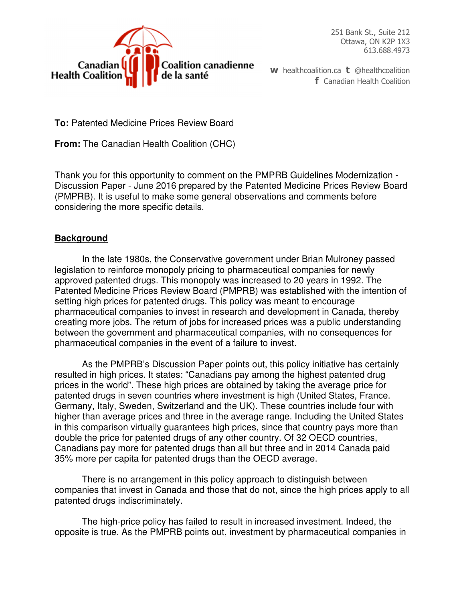

251 Bank St., Suite 212 Ottawa, ON K2P 1X3 613.688.4973

**w** healthcoalition.ca **t** @healthcoalition **f** Canadian Health Coalition

**To:** Patented Medicine Prices Review Board

**From:** The Canadian Health Coalition (CHC)

Thank you for this opportunity to comment on the PMPRB Guidelines Modernization - Discussion Paper - June 2016 prepared by the Patented Medicine Prices Review Board (PMPRB). It is useful to make some general observations and comments before considering the more specific details.

# **Background**

 In the late 1980s, the Conservative government under Brian Mulroney passed legislation to reinforce monopoly pricing to pharmaceutical companies for newly approved patented drugs. This monopoly was increased to 20 years in 1992. The Patented Medicine Prices Review Board (PMPRB) was established with the intention of setting high prices for patented drugs. This policy was meant to encourage pharmaceutical companies to invest in research and development in Canada, thereby creating more jobs. The return of jobs for increased prices was a public understanding between the government and pharmaceutical companies, with no consequences for pharmaceutical companies in the event of a failure to invest.

 As the PMPRB's Discussion Paper points out, this policy initiative has certainly resulted in high prices. It states: "Canadians pay among the highest patented drug prices in the world". These high prices are obtained by taking the average price for patented drugs in seven countries where investment is high (United States, France. Germany, Italy, Sweden, Switzerland and the UK). These countries include four with higher than average prices and three in the average range. Including the United States in this comparison virtually guarantees high prices, since that country pays more than double the price for patented drugs of any other country. Of 32 OECD countries, Canadians pay more for patented drugs than all but three and in 2014 Canada paid 35% more per capita for patented drugs than the OECD average.

 There is no arrangement in this policy approach to distinguish between companies that invest in Canada and those that do not, since the high prices apply to all patented drugs indiscriminately.

 The high-price policy has failed to result in increased investment. Indeed, the opposite is true. As the PMPRB points out, investment by pharmaceutical companies in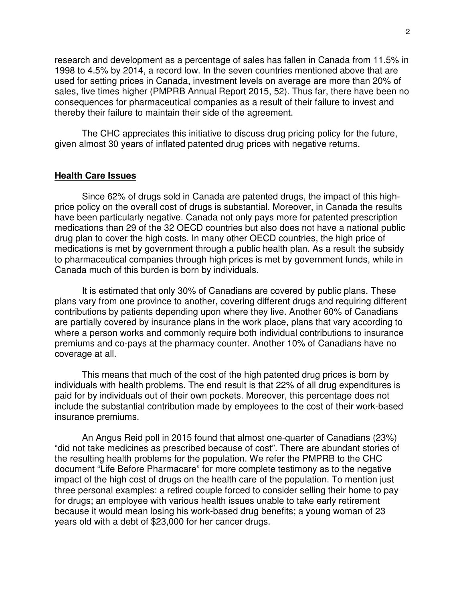research and development as a percentage of sales has fallen in Canada from 11.5% in 1998 to 4.5% by 2014, a record low. In the seven countries mentioned above that are used for setting prices in Canada, investment levels on average are more than 20% of sales, five times higher (PMPRB Annual Report 2015, 52). Thus far, there have been no consequences for pharmaceutical companies as a result of their failure to invest and thereby their failure to maintain their side of the agreement.

 The CHC appreciates this initiative to discuss drug pricing policy for the future, given almost 30 years of inflated patented drug prices with negative returns.

### **Health Care Issues**

 Since 62% of drugs sold in Canada are patented drugs, the impact of this highprice policy on the overall cost of drugs is substantial. Moreover, in Canada the results have been particularly negative. Canada not only pays more for patented prescription medications than 29 of the 32 OECD countries but also does not have a national public drug plan to cover the high costs. In many other OECD countries, the high price of medications is met by government through a public health plan. As a result the subsidy to pharmaceutical companies through high prices is met by government funds, while in Canada much of this burden is born by individuals.

 It is estimated that only 30% of Canadians are covered by public plans. These plans vary from one province to another, covering different drugs and requiring different contributions by patients depending upon where they live. Another 60% of Canadians are partially covered by insurance plans in the work place, plans that vary according to where a person works and commonly require both individual contributions to insurance premiums and co-pays at the pharmacy counter. Another 10% of Canadians have no coverage at all.

 This means that much of the cost of the high patented drug prices is born by individuals with health problems. The end result is that 22% of all drug expenditures is paid for by individuals out of their own pockets. Moreover, this percentage does not include the substantial contribution made by employees to the cost of their work-based insurance premiums.

 An Angus Reid poll in 2015 found that almost one-quarter of Canadians (23%) "did not take medicines as prescribed because of cost". There are abundant stories of the resulting health problems for the population. We refer the PMPRB to the CHC document "Life Before Pharmacare" for more complete testimony as to the negative impact of the high cost of drugs on the health care of the population. To mention just three personal examples: a retired couple forced to consider selling their home to pay for drugs; an employee with various health issues unable to take early retirement because it would mean losing his work-based drug benefits; a young woman of 23 years old with a debt of \$23,000 for her cancer drugs.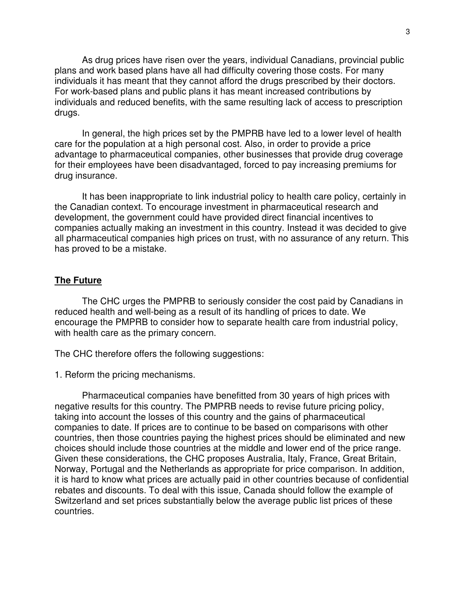As drug prices have risen over the years, individual Canadians, provincial public plans and work based plans have all had difficulty covering those costs. For many individuals it has meant that they cannot afford the drugs prescribed by their doctors. For work-based plans and public plans it has meant increased contributions by individuals and reduced benefits, with the same resulting lack of access to prescription drugs.

 In general, the high prices set by the PMPRB have led to a lower level of health care for the population at a high personal cost. Also, in order to provide a price advantage to pharmaceutical companies, other businesses that provide drug coverage for their employees have been disadvantaged, forced to pay increasing premiums for drug insurance.

 It has been inappropriate to link industrial policy to health care policy, certainly in the Canadian context. To encourage investment in pharmaceutical research and development, the government could have provided direct financial incentives to companies actually making an investment in this country. Instead it was decided to give all pharmaceutical companies high prices on trust, with no assurance of any return. This has proved to be a mistake.

## **The Future**

 The CHC urges the PMPRB to seriously consider the cost paid by Canadians in reduced health and well-being as a result of its handling of prices to date. We encourage the PMPRB to consider how to separate health care from industrial policy, with health care as the primary concern.

The CHC therefore offers the following suggestions:

1. Reform the pricing mechanisms.

Pharmaceutical companies have benefitted from 30 years of high prices with negative results for this country. The PMPRB needs to revise future pricing policy, taking into account the losses of this country and the gains of pharmaceutical companies to date. If prices are to continue to be based on comparisons with other countries, then those countries paying the highest prices should be eliminated and new choices should include those countries at the middle and lower end of the price range. Given these considerations, the CHC proposes Australia, Italy, France, Great Britain, Norway, Portugal and the Netherlands as appropriate for price comparison. In addition, it is hard to know what prices are actually paid in other countries because of confidential rebates and discounts. To deal with this issue, Canada should follow the example of Switzerland and set prices substantially below the average public list prices of these countries.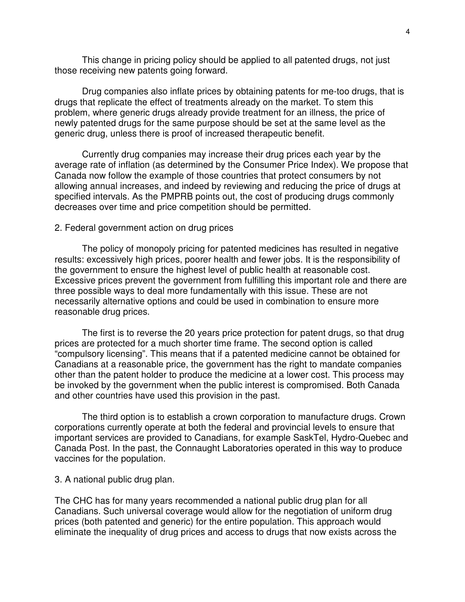This change in pricing policy should be applied to all patented drugs, not just those receiving new patents going forward.

Drug companies also inflate prices by obtaining patents for me-too drugs, that is drugs that replicate the effect of treatments already on the market. To stem this problem, where generic drugs already provide treatment for an illness, the price of newly patented drugs for the same purpose should be set at the same level as the generic drug, unless there is proof of increased therapeutic benefit.

 Currently drug companies may increase their drug prices each year by the average rate of inflation (as determined by the Consumer Price Index). We propose that Canada now follow the example of those countries that protect consumers by not allowing annual increases, and indeed by reviewing and reducing the price of drugs at specified intervals. As the PMPRB points out, the cost of producing drugs commonly decreases over time and price competition should be permitted.

#### 2. Federal government action on drug prices

The policy of monopoly pricing for patented medicines has resulted in negative results: excessively high prices, poorer health and fewer jobs. It is the responsibility of the government to ensure the highest level of public health at reasonable cost. Excessive prices prevent the government from fulfilling this important role and there are three possible ways to deal more fundamentally with this issue. These are not necessarily alternative options and could be used in combination to ensure more reasonable drug prices.

 The first is to reverse the 20 years price protection for patent drugs, so that drug prices are protected for a much shorter time frame. The second option is called "compulsory licensing". This means that if a patented medicine cannot be obtained for Canadians at a reasonable price, the government has the right to mandate companies other than the patent holder to produce the medicine at a lower cost. This process may be invoked by the government when the public interest is compromised. Both Canada and other countries have used this provision in the past.

 The third option is to establish a crown corporation to manufacture drugs. Crown corporations currently operate at both the federal and provincial levels to ensure that important services are provided to Canadians, for example SaskTel, Hydro-Quebec and Canada Post. In the past, the Connaught Laboratories operated in this way to produce vaccines for the population.

## 3. A national public drug plan.

The CHC has for many years recommended a national public drug plan for all Canadians. Such universal coverage would allow for the negotiation of uniform drug prices (both patented and generic) for the entire population. This approach would eliminate the inequality of drug prices and access to drugs that now exists across the